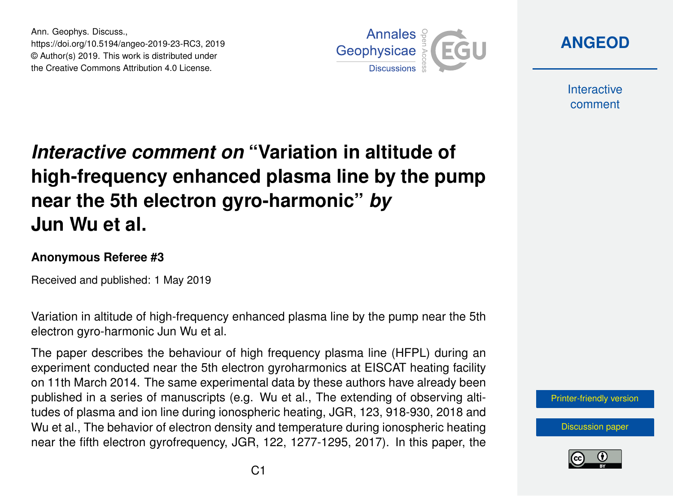Ann. Geophys. Discuss., https://doi.org/10.5194/angeo-2019-23-RC3, 2019 © Author(s) 2019. This work is distributed under the Creative Commons Attribution 4.0 License.



**[ANGEOD](https://www.ann-geophys-discuss.net/)**

**Interactive** comment

## *Interactive comment on* **"Variation in altitude of high-frequency enhanced plasma line by the pump near the 5th electron gyro-harmonic"** *by* **Jun Wu et al.**

## **Anonymous Referee #3**

Received and published: 1 May 2019

Variation in altitude of high-frequency enhanced plasma line by the pump near the 5th electron gyro-harmonic Jun Wu et al.

The paper describes the behaviour of high frequency plasma line (HFPL) during an experiment conducted near the 5th electron gyroharmonics at EISCAT heating facility on 11th March 2014. The same experimental data by these authors have already been published in a series of manuscripts (e.g. Wu et al., The extending of observing altitudes of plasma and ion line during ionospheric heating, JGR, 123, 918-930, 2018 and Wu et al., The behavior of electron density and temperature during ionospheric heating near the fifth electron gyrofrequency, JGR, 122, 1277-1295, 2017). In this paper, the

[Printer-friendly version](https://www.ann-geophys-discuss.net/angeo-2019-23/angeo-2019-23-RC3-print.pdf)

[Discussion paper](https://www.ann-geophys-discuss.net/angeo-2019-23)